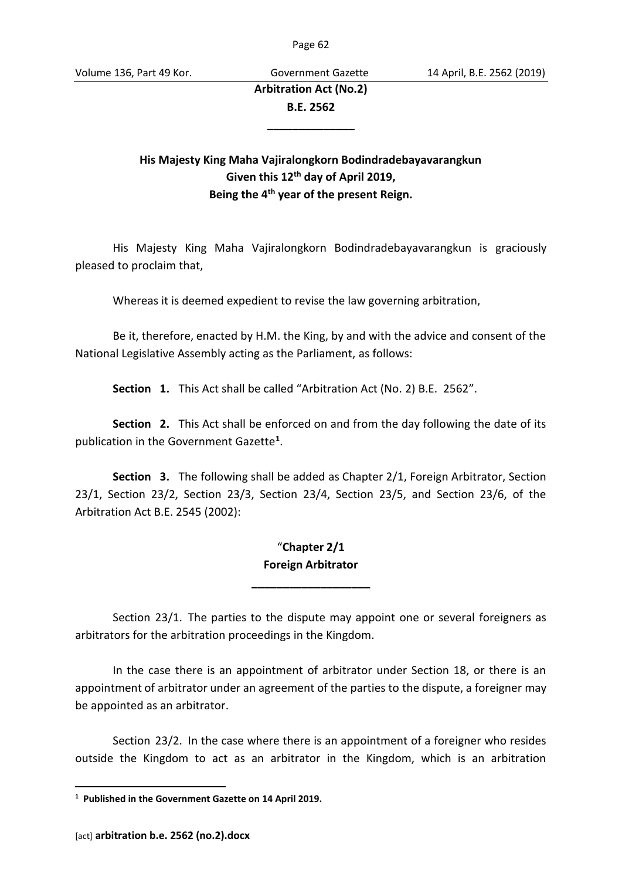**Arbitration Act (No.2) B.E. 2562**

**\_\_\_\_\_\_\_\_\_\_\_\_\_\_**

## **His Majesty King Maha Vajiralongkorn Bodindradebayavarangkun Given this 12th day of April 2019, Being the 4th year of the present Reign.**

His Majesty King Maha Vajiralongkorn Bodindradebayavarangkun is graciously pleased to proclaim that,

Whereas it is deemed expedient to revise the law governing arbitration,

Be it, therefore, enacted by H.M. the King, by and with the advice and consent of the National Legislative Assembly acting as the Parliament, as follows:

**Section 1.** This Act shall be called "Arbitration Act (No. 2) B.E. 2562".

**Section 2.** This Act shall be enforced on and from the day following the date of its publication in the Government Gazette**<sup>1</sup>** .

**Section 3.** The following shall be added as Chapter 2/1, Foreign Arbitrator, Section 23/1, Section 23/2, Section 23/3, Section 23/4, Section 23/5, and Section 23/6, of the Arbitration Act B.E. 2545 (2002):

## "**Chapter 2/1 Foreign Arbitrator**

**\_\_\_\_\_\_\_\_\_\_\_\_\_\_\_\_\_\_\_**

Section 23/1. The parties to the dispute may appoint one or several foreigners as arbitrators for the arbitration proceedings in the Kingdom.

In the case there is an appointment of arbitrator under Section 18, or there is an appointment of arbitrator under an agreement of the parties to the dispute, a foreigner may be appointed as an arbitrator.

Section 23/2. In the case where there is an appointment of a foreigner who resides outside the Kingdom to act as an arbitrator in the Kingdom, which is an arbitration

**<sup>1</sup> Published in the Government Gazette on 14 April 2019.**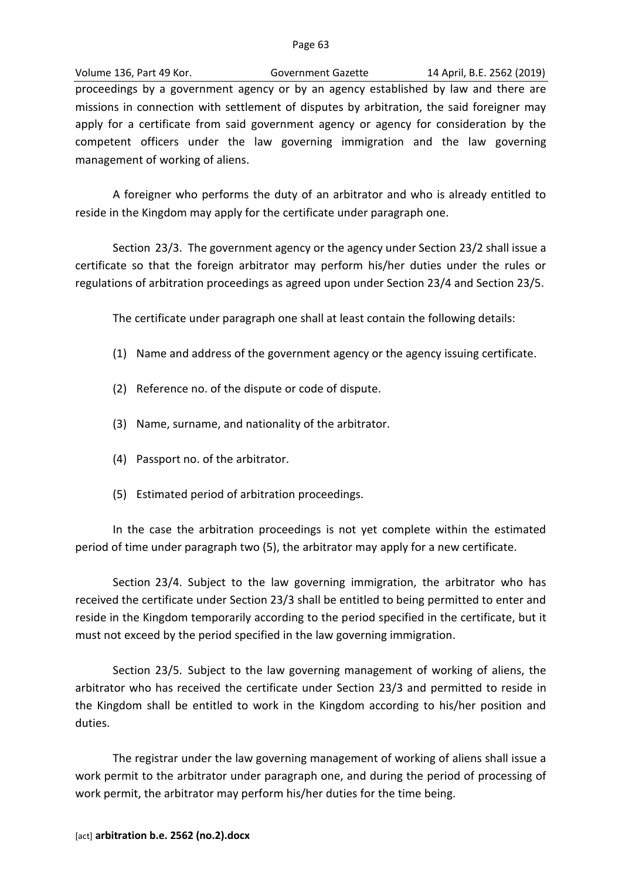Volume 136, Part 49 Kor. Government Gazette 14 April, B.E. 2562 (2019) proceedings by a government agency or by an agency established by law and there are missions in connection with settlement of disputes by arbitration, the said foreigner may apply for a certificate from said government agency or agency for consideration by the competent officers under the law governing immigration and the law governing management of working of aliens.

A foreigner who performs the duty of an arbitrator and who is already entitled to reside in the Kingdom may apply for the certificate under paragraph one.

Section 23/3. The government agency or the agency under Section 23/2 shall issue a certificate so that the foreign arbitrator may perform his/her duties under the rules or regulations of arbitration proceedings as agreed upon under Section 23/4 and Section 23/5.

The certificate under paragraph one shall at least contain the following details:

- (1) Name and address of the government agency or the agency issuing certificate.
- (2) Reference no. of the dispute or code of dispute.
- (3) Name, surname, and nationality of the arbitrator.
- (4) Passport no. of the arbitrator.
- (5) Estimated period of arbitration proceedings.

In the case the arbitration proceedings is not yet complete within the estimated period of time under paragraph two (5), the arbitrator may apply for a new certificate.

Section 23/4. Subject to the law governing immigration, the arbitrator who has received the certificate under Section 23/3 shall be entitled to being permitted to enter and reside in the Kingdom temporarily according to the period specified in the certificate, but it must not exceed by the period specified in the law governing immigration.

Section 23/5. Subject to the law governing management of working of aliens, the arbitrator who has received the certificate under Section 23/3 and permitted to reside in the Kingdom shall be entitled to work in the Kingdom according to his/her position and duties.

The registrar under the law governing management of working of aliens shall issue a work permit to the arbitrator under paragraph one, and during the period of processing of work permit, the arbitrator may perform his/her duties for the time being.